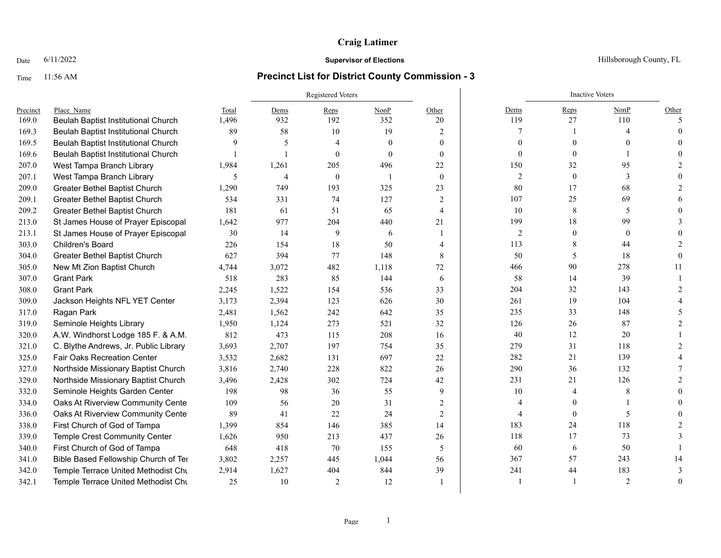### Date  $6/11/2022$  Hillsborough County, FL

|          |                                       |       |                | Registered Voters |                |                | <b>Inactive Voters</b> |              |                |          |
|----------|---------------------------------------|-------|----------------|-------------------|----------------|----------------|------------------------|--------------|----------------|----------|
| Precinct | Place Name                            | Total | Dems           | Reps              | NonP           | Other          | Dems                   | Reps         | NonP           | Other    |
| 169.0    | Beulah Baptist Institutional Church   | 1,496 | 932            | 192               | 352            | 20             | 119                    | 27           | 110            | 5        |
| 169.3    | Beulah Baptist Institutional Church   | 89    | 58             | 10                | 19             | 2              | 7                      |              |                |          |
| 169.5    | Beulah Baptist Institutional Church   | 9     | 5              | 4                 | $\mathbf{0}$   | $\overline{0}$ | $\Omega$               |              |                |          |
| 169.6    | Beulah Baptist Institutional Church   |       | $\mathbf{1}$   | $\theta$          | $\theta$       | $\theta$       | $\Omega$               | $\theta$     |                |          |
| 207.0    | West Tampa Branch Library             | 1,984 | 1,261          | 205               | 496            | 22             | 150                    | 32           | 95             |          |
| 207.1    | West Tampa Branch Library             | 5     | $\overline{4}$ | $\theta$          | $\overline{1}$ | $\mathbf{0}$   | $\overline{2}$         | $\mathbf{0}$ | 3              |          |
| 209.0    | Greater Bethel Baptist Church         | 1,290 | 749            | 193               | 325            | 23             | 80                     | 17           | 68             |          |
| 209.1    | Greater Bethel Baptist Church         | 534   | 331            | 74                | 127            | 2              | 107                    | 25           | 69             |          |
| 209.2    | Greater Bethel Baptist Church         | 181   | 61             | 51                | 65             | 4              | 10                     | 8            | 5              |          |
| 213.0    | St James House of Prayer Episcopal    | 1,642 | 977            | 204               | 440            | 21             | 199                    | 18           | 99             |          |
| 213.1    | St James House of Prayer Episcopal    | 30    | 14             | 9                 | 6              |                | $\overline{c}$         | $\theta$     | $\mathbf{0}$   |          |
| 303.0    | <b>Children's Board</b>               | 226   | 154            | 18                | 50             | 4              | 113                    | 8            | 44             |          |
| 304.0    | Greater Bethel Baptist Church         | 627   | 394            | 77                | 148            | 8              | 50                     | 5            | 18             |          |
| 305.0    | New Mt Zion Baptist Church            | 4,744 | 3,072          | 482               | 1,118          | 72             | 466                    | 90           | 278            | 11       |
| 307.0    | <b>Grant Park</b>                     | 518   | 283            | 85                | 144            | 6              | 58                     | 14           | 39             |          |
| 308.0    | <b>Grant Park</b>                     | 2,245 | 1,522          | 154               | 536            | 33             | 204                    | 32           | 143            |          |
| 309.0    | Jackson Heights NFL YET Center        | 3,173 | 2,394          | 123               | 626            | 30             | 261                    | 19           | 104            |          |
| 317.0    | Ragan Park                            | 2,481 | 1,562          | 242               | 642            | 35             | 235                    | 33           | 148            |          |
| 319.0    | Seminole Heights Library              | 1,950 | 1,124          | 273               | 521            | 32             | 126                    | 26           | 87             |          |
| 320.0    | A.W. Windhorst Lodge 185 F. & A.M.    | 812   | 473            | 115               | 208            | 16             | 40                     | 12           | 20             |          |
| 321.0    | C. Blythe Andrews, Jr. Public Library | 3,693 | 2,707          | 197               | 754            | 35             | 279                    | 31           | 118            |          |
| 325.0    | <b>Fair Oaks Recreation Center</b>    | 3,532 | 2,682          | 131               | 697            | 22             | 282                    | 21           | 139            |          |
| 327.0    | Northside Missionary Baptist Church   | 3,816 | 2,740          | 228               | 822            | 26             | 290                    | 36           | 132            |          |
| 329.0    | Northside Missionary Baptist Church   | 3,496 | 2,428          | 302               | 724            | 42             | 231                    | 21           | 126            |          |
| 332.0    | Seminole Heights Garden Center        | 198   | 98             | 36                | 55             | 9              | 10                     |              | 8              |          |
| 334.0    | Oaks At Riverview Community Center    | 109   | 56             | 20                | 31             | 2              |                        |              |                |          |
| 336.0    | Oaks At Riverview Community Center    | 89    | 41             | 22                | 24             | 2              | 4                      | $\mathbf{0}$ | 5              |          |
| 338.0    | First Church of God of Tampa          | 1,399 | 854            | 146               | 385            | 14             | 183                    | 24           | 118            |          |
| 339.0    | Temple Crest Community Center         | 1,626 | 950            | 213               | 437            | 26             | 118                    | 17           | 73             |          |
| 340.0    | First Church of God of Tampa          | 648   | 418            | 70                | 155            | 5              | 60                     | 6            | 50             |          |
| 341.0    | Bible Based Fellowship Church of Ter  | 3,802 | 2,257          | 445               | 1,044          | 56             | 367                    | 57           | 243            | 14       |
| 342.0    | Temple Terrace United Methodist Chu   | 2,914 | 1,627          | 404               | 844            | 39             | 241                    | 44           | 183            |          |
| 342.1    | Temple Terrace United Methodist Chu   | 25    | 10             | 2                 | 12             |                |                        | -1           | $\overline{2}$ | $\Omega$ |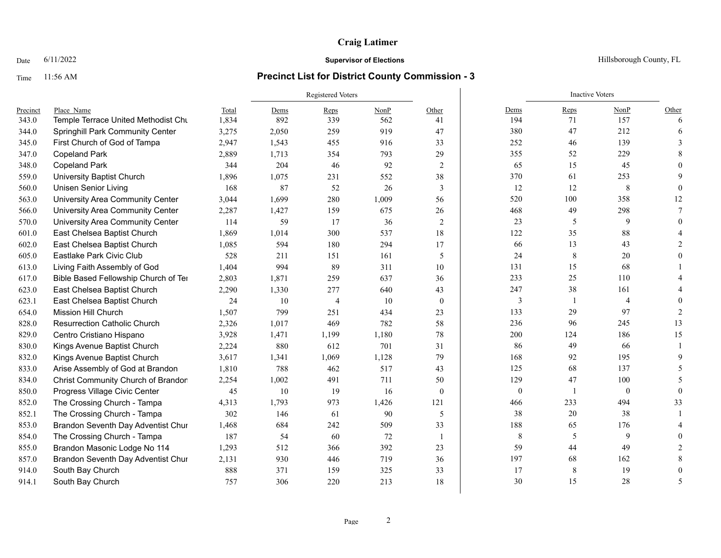### Date  $6/11/2022$  Hillsborough County, FL

|          |                                      |       | Registered Voters |                |       |                |                | <b>Inactive Voters</b> |                |                               |  |  |
|----------|--------------------------------------|-------|-------------------|----------------|-------|----------------|----------------|------------------------|----------------|-------------------------------|--|--|
| Precinct | Place Name                           | Total | Dems              | Reps           | NonP  | Other          | Dems           | Reps                   | NonP           | Other                         |  |  |
| 343.0    | Temple Terrace United Methodist Chu  | 1,834 | 892               | 339            | 562   | 41             | 194            | 71                     | 157            | 6                             |  |  |
| 344.0    | Springhill Park Community Center     | 3,275 | 2,050             | 259            | 919   | 47             | 380            | 47                     | 212            | 6                             |  |  |
| 345.0    | First Church of God of Tampa         | 2,947 | 1,543             | 455            | 916   | 33             | 252            | 46                     | 139            | 3                             |  |  |
| 347.0    | <b>Copeland Park</b>                 | 2,889 | 1,713             | 354            | 793   | 29             | 355            | 52                     | 229            |                               |  |  |
| 348.0    | <b>Copeland Park</b>                 | 344   | 204               | 46             | 92    | 2              | 65             | 15                     | 45             |                               |  |  |
| 559.0    | <b>University Baptist Church</b>     | 1,896 | 1,075             | 231            | 552   | 38             | 370            | 61                     | 253            |                               |  |  |
| 560.0    | <b>Unisen Senior Living</b>          | 168   | 87                | 52             | 26    | 3              | 12             | 12                     | 8              |                               |  |  |
| 563.0    | University Area Community Center     | 3,044 | 1,699             | 280            | 1,009 | 56             | 520            | 100                    | 358            | 12                            |  |  |
| 566.0    | University Area Community Center     | 2,287 | 1,427             | 159            | 675   | 26             | 468            | 49                     | 298            |                               |  |  |
| 570.0    | University Area Community Center     | 114   | 59                | 17             | 36    | 2              | 23             | 5                      | 9              |                               |  |  |
| 601.0    | East Chelsea Baptist Church          | 1,869 | 1,014             | 300            | 537   | 18             | 122            | 35                     | 88             |                               |  |  |
| 602.0    | East Chelsea Baptist Church          | 1.085 | 594               | 180            | 294   | 17             | 66             | 13                     | 43             |                               |  |  |
| 605.0    | Eastlake Park Civic Club             | 528   | 211               | 151            | 161   | 5              | 24             | 8                      | 20             |                               |  |  |
| 613.0    | Living Faith Assembly of God         | 1,404 | 994               | 89             | 311   | 10             | 131            | 15                     | 68             |                               |  |  |
| 617.0    | Bible Based Fellowship Church of Ter | 2,803 | 1,871             | 259            | 637   | 36             | 233            | 25                     | 110            |                               |  |  |
| 623.0    | East Chelsea Baptist Church          | 2,290 | 1,330             | 277            | 640   | 43             | 247            | 38                     | 161            |                               |  |  |
| 623.1    | East Chelsea Baptist Church          | 24    | 10                | $\overline{4}$ | 10    | $\overline{0}$ | $\overline{3}$ | 1                      | $\overline{4}$ |                               |  |  |
| 654.0    | Mission Hill Church                  | 1,507 | 799               | 251            | 434   | 23             | 133            | 29                     | 97             | $\mathfrak{D}_{\mathfrak{p}}$ |  |  |
| 828.0    | <b>Resurrection Catholic Church</b>  | 2,326 | 1,017             | 469            | 782   | 58             | 236            | 96                     | 245            | 13                            |  |  |
| 829.0    | Centro Cristiano Hispano             | 3,928 | 1,471             | 1,199          | 1,180 | 78             | 200            | 124                    | 186            | 15                            |  |  |
| 830.0    | Kings Avenue Baptist Church          | 2,224 | 880               | 612            | 701   | 31             | 86             | 49                     | 66             |                               |  |  |
| 832.0    | Kings Avenue Baptist Church          | 3,617 | 1,341             | 1,069          | 1,128 | 79             | 168            | 92                     | 195            |                               |  |  |
| 833.0    | Arise Assembly of God at Brandon     | 1,810 | 788               | 462            | 517   | 43             | 125            | 68                     | 137            | 5                             |  |  |
| 834.0    | Christ Community Church of Brandon   | 2,254 | 1,002             | 491            | 711   | 50             | 129            | 47                     | 100            | 5                             |  |  |
| 850.0    | Progress Village Civic Center        | 45    | 10                | 19             | 16    | $\theta$       | $\mathbf{0}$   | 1                      | $\mathbf{0}$   | $\Omega$                      |  |  |
| 852.0    | The Crossing Church - Tampa          | 4,313 | 1,793             | 973            | 1,426 | 121            | 466            | 233                    | 494            | 33                            |  |  |
| 852.1    | The Crossing Church - Tampa          | 302   | 146               | 61             | 90    | 5              | 38             | 20                     | 38             |                               |  |  |
| 853.0    | Brandon Seventh Day Adventist Chur   | 1,468 | 684               | 242            | 509   | 33             | 188            | 65                     | 176            |                               |  |  |
| 854.0    | The Crossing Church - Tampa          | 187   | 54                | 60             | 72    | $\overline{1}$ | 8              | 5                      | 9              |                               |  |  |
| 855.0    | Brandon Masonic Lodge No 114         | 1,293 | 512               | 366            | 392   | 23             | 59             | 44                     | 49             |                               |  |  |
| 857.0    | Brandon Seventh Day Adventist Chur   | 2,131 | 930               | 446            | 719   | 36             | 197            | 68                     | 162            |                               |  |  |
| 914.0    | South Bay Church                     | 888   | 371               | 159            | 325   | 33             | 17             | 8                      | 19             |                               |  |  |
| 914.1    | South Bay Church                     | 757   | 306               | 220            | 213   | 18             | 30             | 15                     | 28             | 5                             |  |  |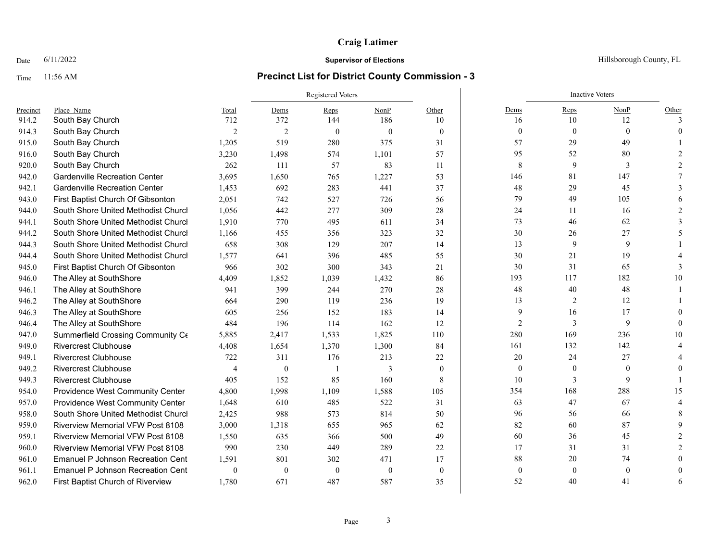### Date  $6/11/2022$  Hillsborough County, FL

|          |                                          |                |                  | <b>Registered Voters</b> |          |                | <b>Inactive Voters</b> |                  |                  |          |  |
|----------|------------------------------------------|----------------|------------------|--------------------------|----------|----------------|------------------------|------------------|------------------|----------|--|
| Precinct | Place Name                               | Total          | Dems             | Reps                     | NonP     | Other          | Dems                   | Reps             | NonP             | Other    |  |
| 914.2    | South Bay Church                         | 712            | 372              | 144                      | 186      | 10             | 16                     | 10               | 12               | 3        |  |
| 914.3    | South Bay Church                         | $\overline{2}$ | $\overline{2}$   | $\mathbf{0}$             | $\theta$ | $\overline{0}$ | $\mathbf{0}$           | $\mathbf{0}$     | $\mathbf{0}$     | $\Omega$ |  |
| 915.0    | South Bay Church                         | 1,205          | 519              | 280                      | 375      | 31             | 57                     | 29               | 49               |          |  |
| 916.0    | South Bay Church                         | 3,230          | 1,498            | 574                      | 1,101    | 57             | 95                     | 52               | 80               |          |  |
| 920.0    | South Bay Church                         | 262            | 111              | 57                       | 83       | 11             | $\,8\,$                | 9                | 3                |          |  |
| 942.0    | <b>Gardenville Recreation Center</b>     | 3,695          | 1,650            | 765                      | 1,227    | 53             | 146                    | 81               | 147              |          |  |
| 942.1    | <b>Gardenville Recreation Center</b>     | 1,453          | 692              | 283                      | 441      | 37             | 48                     | 29               | 45               |          |  |
| 943.0    | First Baptist Church Of Gibsonton        | 2,051          | 742              | 527                      | 726      | 56             | 79                     | 49               | 105              |          |  |
| 944.0    | South Shore United Methodist Churcl      | 1,056          | 442              | 277                      | 309      | 28             | 24                     | 11               | 16               |          |  |
| 944.1    | South Shore United Methodist Churcl      | 1,910          | 770              | 495                      | 611      | 34             | 73                     | 46               | 62               |          |  |
| 944.2    | South Shore United Methodist Churcl      | 1,166          | 455              | 356                      | 323      | 32             | 30                     | 26               | 27               |          |  |
| 944.3    | South Shore United Methodist Churcl      | 658            | 308              | 129                      | 207      | 14             | 13                     | 9                | 9                |          |  |
| 944.4    | South Shore United Methodist Churcl      | 1.577          | 641              | 396                      | 485      | 55             | 30                     | 21               | 19               |          |  |
| 945.0    | First Baptist Church Of Gibsonton        | 966            | 302              | 300                      | 343      | 21             | 30                     | 31               | 65               |          |  |
| 946.0    | The Alley at SouthShore                  | 4.409          | 1,852            | 1,039                    | 1,432    | 86             | 193                    | 117              | 182              | 10       |  |
| 946.1    | The Alley at SouthShore                  | 941            | 399              | 244                      | 270      | 28             | $48\,$                 | 40               | 48               |          |  |
| 946.2    | The Alley at SouthShore                  | 664            | 290              | 119                      | 236      | 19             | 13                     | $\overline{2}$   | 12               |          |  |
| 946.3    | The Alley at SouthShore                  | 605            | 256              | 152                      | 183      | 14             | 9                      | 16               | 17               |          |  |
| 946.4    | The Alley at SouthShore                  | 484            | 196              | 114                      | 162      | 12             | $\overline{2}$         | 3                | 9                | $\Omega$ |  |
| 947.0    | Summerfield Crossing Community Ce        | 5,885          | 2,417            | 1,533                    | 1,825    | 110            | 280                    | 169              | 236              | 10       |  |
| 949.0    | <b>Rivercrest Clubhouse</b>              | 4,408          | 1,654            | 1,370                    | 1,300    | 84             | 161                    | 132              | 142              |          |  |
| 949.1    | <b>Rivercrest Clubhouse</b>              | 722            | 311              | 176                      | 213      | 22             | 20                     | 24               | 27               |          |  |
| 949.2    | <b>Rivercrest Clubhouse</b>              | $\overline{4}$ | $\boldsymbol{0}$ | $\mathbf{1}$             | 3        | $\mathbf{0}$   | $\mathbf{0}$           | $\boldsymbol{0}$ | $\boldsymbol{0}$ |          |  |
| 949.3    | <b>Rivercrest Clubhouse</b>              | 405            | 152              | 85                       | 160      | 8              | 10                     | 3                | 9                |          |  |
| 954.0    | Providence West Community Center         | 4,800          | 1,998            | 1,109                    | 1,588    | 105            | 354                    | 168              | 288              | 15       |  |
| 957.0    | Providence West Community Center         | 1,648          | 610              | 485                      | 522      | 31             | 63                     | 47               | 67               |          |  |
| 958.0    | South Shore United Methodist Churcl      | 2,425          | 988              | 573                      | 814      | 50             | 96                     | 56               | 66               |          |  |
| 959.0    | <b>Riverview Memorial VFW Post 8108</b>  | 3,000          | 1,318            | 655                      | 965      | 62             | 82                     | 60               | 87               |          |  |
| 959.1    | <b>Riverview Memorial VFW Post 8108</b>  | 1,550          | 635              | 366                      | 500      | 49             | 60                     | 36               | 45               |          |  |
| 960.0    | <b>Riverview Memorial VFW Post 8108</b>  | 990            | 230              | 449                      | 289      | 22             | 17                     | 31               | 31               |          |  |
| 961.0    | <b>Emanuel P Johnson Recreation Cent</b> | 1,591          | 801              | 302                      | 471      | 17             | 88                     | 20               | 74               |          |  |
| 961.1    | <b>Emanuel P Johnson Recreation Cent</b> | $\theta$       | $\mathbf{0}$     | $\theta$                 | $\theta$ | $\theta$       | $\mathbf{0}$           | $\mathbf{0}$     | $\mathbf{0}$     |          |  |
| 962.0    | First Baptist Church of Riverview        | 1.780          | 671              | 487                      | 587      | 35             | 52                     | 40               | 41               | 6        |  |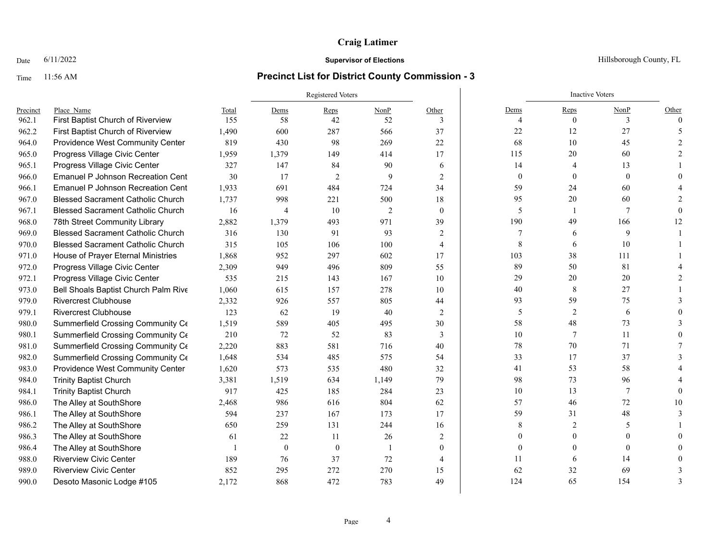### Date  $6/11/2022$  Hillsborough County, FL

|          |                                          |       |              | Registered Voters |                | <b>Inactive Voters</b> |                  |                |                |          |
|----------|------------------------------------------|-------|--------------|-------------------|----------------|------------------------|------------------|----------------|----------------|----------|
| Precinct | Place Name                               | Total | Dems         | Reps              | NonP           | Other                  | Dems             | Reps           | NonP           | Other    |
| 962.1    | First Baptist Church of Riverview        | 155   | 58           | 42                | 52             | 3                      | $\Delta$         | $\theta$       | 3              | $\theta$ |
| 962.2    | First Baptist Church of Riverview        | 1,490 | 600          | 287               | 566            | 37                     | $22\,$           | 12             | 27             |          |
| 964.0    | Providence West Community Center         | 819   | 430          | 98                | 269            | 22                     | 68               | 10             | 45             |          |
| 965.0    | Progress Village Civic Center            | 1,959 | 1,379        | 149               | 414            | 17                     | 115              | $20\,$         | 60             |          |
| 965.1    | Progress Village Civic Center            | 327   | 147          | 84                | 90             | 6                      | 14               | 4              | 13             |          |
| 966.0    | <b>Emanuel P Johnson Recreation Cent</b> | 30    | 17           | $\overline{2}$    | 9              | $\overline{2}$         | $\boldsymbol{0}$ | $\mathbf{0}$   | $\mathbf{0}$   |          |
| 966.1    | <b>Emanuel P Johnson Recreation Cent</b> | 1,933 | 691          | 484               | 724            | 34                     | 59               | 24             | 60             |          |
| 967.0    | <b>Blessed Sacrament Catholic Church</b> | 1,737 | 998          | 221               | 500            | 18                     | 95               | 20             | 60             |          |
| 967.1    | <b>Blessed Sacrament Catholic Church</b> | 16    | 4            | 10                | $\overline{2}$ | $\theta$               | 5                | -1             | 7              |          |
| 968.0    | 78th Street Community Library            | 2,882 | 1,379        | 493               | 971            | 39                     | 190              | 49             | 166            | 12       |
| 969.0    | <b>Blessed Sacrament Catholic Church</b> | 316   | 130          | 91                | 93             | 2                      | 7                | 6              | 9              |          |
| 970.0    | <b>Blessed Sacrament Catholic Church</b> | 315   | 105          | 106               | 100            | $\overline{4}$         | 8                | 6              | 10             |          |
| 971.0    | House of Prayer Eternal Ministries       | 1,868 | 952          | 297               | 602            | 17                     | 103              | 38             | 111            |          |
| 972.0    | Progress Village Civic Center            | 2,309 | 949          | 496               | 809            | 55                     | 89               | 50             | 81             |          |
| 972.1    | Progress Village Civic Center            | 535   | 215          | 143               | 167            | 10                     | 29               | 20             | 20             |          |
| 973.0    | Bell Shoals Baptist Church Palm Rive     | 1,060 | 615          | 157               | 278            | 10                     | 40               | 8              | 27             |          |
| 979.0    | <b>Rivercrest Clubhouse</b>              | 2,332 | 926          | 557               | 805            | 44                     | 93               | 59             | 75             |          |
| 979.1    | <b>Rivercrest Clubhouse</b>              | 123   | 62           | 19                | 40             | 2                      | 5                | 2              | 6              |          |
| 980.0    | Summerfield Crossing Community Ce        | 1,519 | 589          | 405               | 495            | 30                     | 58               | 48             | 73             |          |
| 980.1    | Summerfield Crossing Community Ce        | 210   | 72           | 52                | 83             | 3                      | 10               | 7              | 11             |          |
| 981.0    | Summerfield Crossing Community Ce        | 2,220 | 883          | 581               | 716            | 40                     | 78               | 70             | 71             |          |
| 982.0    | Summerfield Crossing Community Ce        | 1,648 | 534          | 485               | 575            | 54                     | 33               | 17             | 37             |          |
| 983.0    | Providence West Community Center         | 1,620 | 573          | 535               | 480            | 32                     | 41               | 53             | 58             |          |
| 984.0    | <b>Trinity Baptist Church</b>            | 3,381 | 1,519        | 634               | 1,149          | 79                     | 98               | 73             | 96             |          |
| 984.1    | <b>Trinity Baptist Church</b>            | 917   | 425          | 185               | 284            | 23                     | 10               | 13             | $\overline{7}$ |          |
| 986.0    | The Alley at SouthShore                  | 2,468 | 986          | 616               | 804            | 62                     | 57               | 46             | 72             | 10       |
| 986.1    | The Alley at SouthShore                  | 594   | 237          | 167               | 173            | 17                     | 59               | 31             | 48             |          |
| 986.2    | The Alley at SouthShore                  | 650   | 259          | 131               | 244            | 16                     | 8                | $\overline{2}$ | 5              |          |
| 986.3    | The Alley at SouthShore                  | 61    | 22           | 11                | 26             | 2                      | 0                | $\Omega$       | 0              |          |
| 986.4    | The Alley at SouthShore                  |       | $\mathbf{0}$ | $\theta$          | $\overline{1}$ | $\theta$               | $\theta$         | $\Omega$       | $\theta$       |          |
| 988.0    | <b>Riverview Civic Center</b>            | 189   | 76           | 37                | 72             | $\overline{4}$         | 11               | 6              | 14             |          |
| 989.0    | <b>Riverview Civic Center</b>            | 852   | 295          | 272               | 270            | 15                     | 62               | 32             | 69             |          |
| 990.0    | Desoto Masonic Lodge #105                | 2,172 | 868          | 472               | 783            | 49                     | 124              | 65             | 154            | 3        |